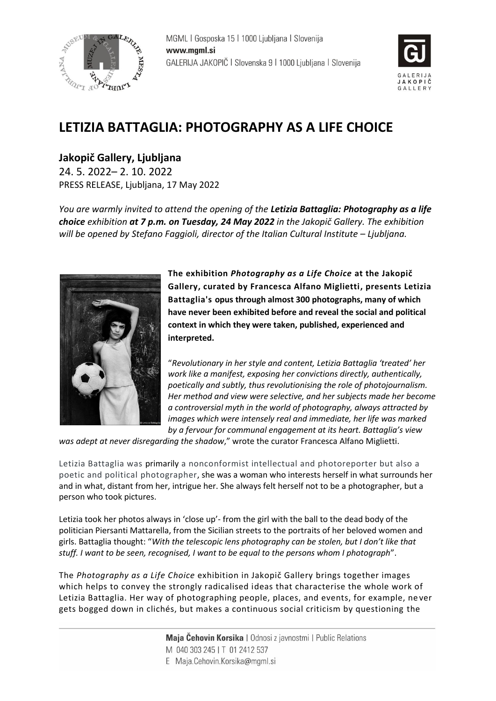



# **LETIZIA BATTAGLIA: PHOTOGRAPHY AS A LIFE CHOICE**

**Jakopič Gallery, Ljubljana** 24. 5. 2022– 2. 10. 2022 PRESS RELEASE, Ljubljana, 17 May 2022

*You are warmly invited to attend the opening of the Letizia Battaglia: Photography as a life choice exhibition at 7 p.m. on Tuesday, 24 May 2022 in the Jakopič Gallery. The exhibition will be opened by Stefano Faggioli, director of the [Italian Cultural Institute](https://www.seviqc-brezice.si/italian-cultural-institute-ljubljana.html) – Ljubljana.*



**The exhibition** *Photography as a Life Choice* **at the Jakopič Gallery, curated by Francesca Alfano Miglietti, presents Letizia Battaglia's opus through almost 300 photographs, many of which have never been exhibited before and reveal the social and political context in which they were taken, published, experienced and interpreted.**

"*Revolutionary in her style and content, Letizia Battaglia 'treated' her work like a manifest, exposing her convictions directly, authentically, poetically and subtly, thus revolutionising the role of photojournalism. Her method and view were selective, and her subjects made her become a controversial myth in the world of photography, always attracted by images which were intensely real and immediate, her life was marked by a fervour for communal engagement at its heart. Battaglia's view* 

*was adept at never disregarding the shadow*," wrote the curator Francesca Alfano Miglietti.

Letizia Battaglia was primarily a nonconformist intellectual and photoreporter but also a poetic and political photographer, she was a woman who interests herself in what surrounds her and in what, distant from her, intrigue her. She always felt herself not to be a photographer, but a person who took pictures.

Letizia took her photos always in 'close up'- from the girl with the ball to the dead body of the politician Piersanti Mattarella, from the Sicilian streets to the portraits of her beloved women and girls. Battaglia thought: "*With the telescopic lens photography can be stolen, but I don't like that stuff. I want to be seen, recognised, I want to be equal to the persons whom I photograph*".

The *Photography as a Life Choice* exhibition in Jakopič Gallery brings together images which helps to convey the strongly radicalised ideas that characterise the whole work of Letizia Battaglia. Her way of photographing people, places, and events, for example, ne ver gets bogged down in clichés, but makes a continuous social criticism by questioning the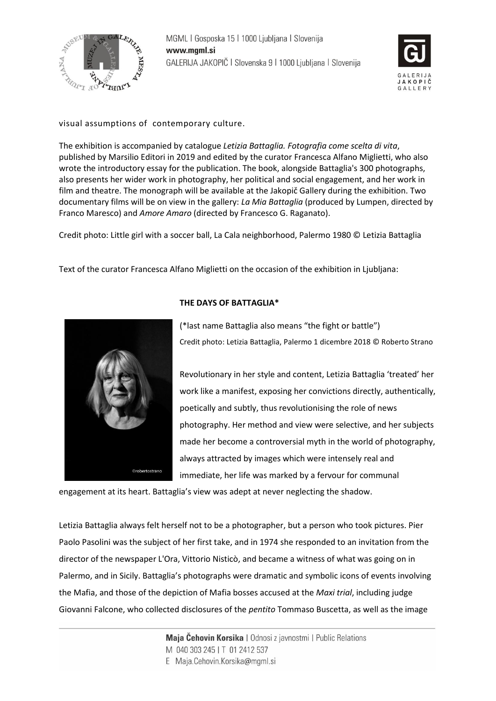



## visual assumptions of contemporary culture.

The exhibition is accompanied by catalogue *Letizia Battaglia. Fotografia come scelta di vita*, published by Marsilio Editori in 2019 and edited by the curator Francesca Alfano Miglietti, who also wrote the introductory essay for the publication. The book, alongside Battaglia's 300 photographs, also presents her wider work in photography, her political and social engagement, and her work in film and theatre. The monograph will be available at the Jakopič Gallery during the exhibition. Two documentary films will be on view in the gallery: *La Mia Battaglia* (produced by Lumpen, directed by Franco Maresco) and *Amore Amaro* (directed by Francesco G. Raganato).

Credit photo: Little girl with a soccer ball, La Cala neighborhood, Palermo 1980 © Letizia Battaglia

Text of the curator Francesca Alfano Miglietti on the occasion of the exhibition in Ljubljana:



## **THE DAYS OF BATTAGLIA\***

(\*last name Battaglia also means "the fight or battle") Credit photo: Letizia Battaglia, Palermo 1 dicembre 2018 © Roberto Strano

Revolutionary in her style and content, Letizia Battaglia 'treated' her work like a manifest, exposing her convictions directly, authentically, poetically and subtly, thus revolutionising the role of news photography. Her method and view were selective, and her subjects made her become a controversial myth in the world of photography, always attracted by images which were intensely real and immediate, her life was marked by a fervour for communal

engagement at its heart. Battaglia's view was adept at never neglecting the shadow.

Letizia Battaglia always felt herself not to be a photographer, but a person who took pictures. Pier Paolo Pasolini was the subject of her first take, and in 1974 she responded to an invitation from the director of the newspaper L'Ora, Vittorio Nisticò, and became a witness of what was going on in Palermo, and in Sicily. Battaglia's photographs were dramatic and symbolic icons of events involving the Mafia, and those of the depiction of Mafia bosses accused at the *Maxi trial*, including judge Giovanni Falcone, who collected disclosures of the *pentito* Tommaso Buscetta, as well as the image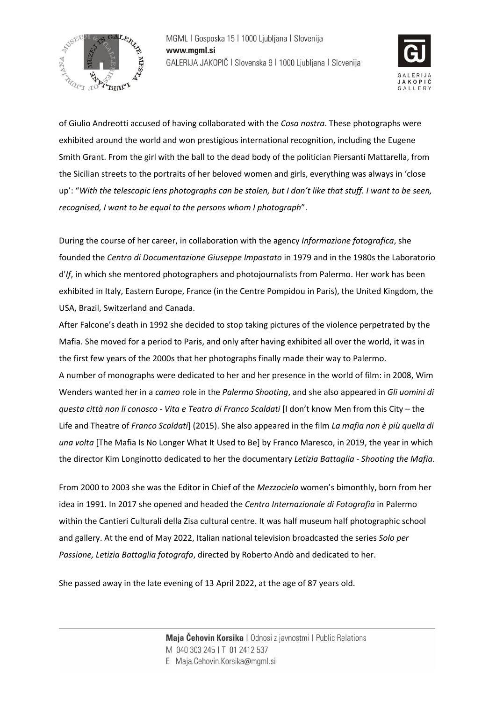



of Giulio Andreotti accused of having collaborated with the *Cosa nostra*. These photographs were exhibited around the world and won prestigious international recognition, including the Eugene Smith Grant. From the girl with the ball to the dead body of the politician Piersanti Mattarella, from the Sicilian streets to the portraits of her beloved women and girls, everything was always in 'close up': "*With the telescopic lens photographs can be stolen, but I don't like that stuff. I want to be seen, recognised, I want to be equal to the persons whom I photograph*".

During the course of her career, in collaboration with the agency *Informazione fotografica*, she founded the *Centro di Documentazione Giuseppe Impastato* in 1979 and in the 1980s the Laboratorio d'*If*, in which she mentored photographers and photojournalists from Palermo. Her work has been exhibited in Italy, Eastern Europe, France (in the Centre Pompidou in Paris), the United Kingdom, the USA, Brazil, Switzerland and Canada.

After Falcone's death in 1992 she decided to stop taking pictures of the violence perpetrated by the Mafia. She moved for a period to Paris, and only after having exhibited all over the world, it was in the first few years of the 2000s that her photographs finally made their way to Palermo. A number of monographs were dedicated to her and her presence in the world of film: in 2008, Wim Wenders wanted her in a *cameo* role in the *Palermo Shooting*, and she also appeared in *Gli uomini di questa città non li conosco - Vita e Teatro di Franco Scaldati* [I don't know Men from this City – the Life and Theatre of *Franco Scaldati*] (2015). She also appeared in the film *La mafia non è più quella di una volta* [The Mafia Is No Longer What It Used to Be] by Franco Maresco, in 2019, the year in which the director Kim Longinotto dedicated to her the documentary *Letizia Battaglia - Shooting the Mafia*.

From 2000 to 2003 she was the Editor in Chief of the *Mezzocielo* women's bimonthly, born from her idea in 1991. In 2017 she opened and headed the *Centro Internazionale di Fotografia* in Palermo within the Cantieri Culturali della Zisa cultural centre. It was half museum half photographic school and gallery. At the end of May 2022, Italian national television broadcasted the series *Solo per Passione, Letizia Battaglia fotografa*, directed by Roberto Andò and dedicated to her.

She passed away in the late evening of 13 April 2022, at the age of 87 years old.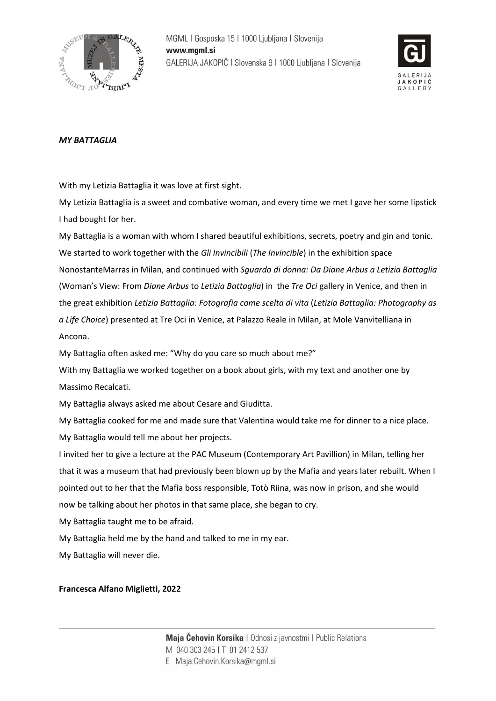



## *MY BATTAGLIA*

With my Letizia Battaglia it was love at first sight.

My Letizia Battaglia is a sweet and combative woman, and every time we met I gave her some lipstick I had bought for her.

My Battaglia is a woman with whom I shared beautiful exhibitions, secrets, poetry and gin and tonic. We started to work together with the *Gli Invincibili* (*The Invincible*) in the exhibition space NonostanteMarras in Milan, and continued with *Sguardo di donna: Da Diane Arbus a Letizia Battaglia* (Woman's View: From *Diane Arbus* to *Letizia Battaglia*) in the *Tre Oci* gallery in Venice, and then in the great exhibition *Letizia Battaglia: Fotografia come scelta di vita* (*Letizia Battaglia: Photography as a Life Choice*) presented at Tre Oci in Venice, at Palazzo Reale in Milan, at Mole Vanvitelliana in Ancona.

My Battaglia often asked me: "Why do you care so much about me?"

With my Battaglia we worked together on a book about girls, with my text and another one by Massimo Recalcati.

My Battaglia always asked me about Cesare and Giuditta.

My Battaglia cooked for me and made sure that Valentina would take me for dinner to a nice place. My Battaglia would tell me about her projects.

I invited her to give a lecture at the PAC Museum (Contemporary Art Pavillion) in Milan, telling her that it was a museum that had previously been blown up by the Mafia and years later rebuilt. When I pointed out to her that the Mafia boss responsible, Totò Riina, was now in prison, and she would now be talking about her photos in that same place, she began to cry.

My Battaglia taught me to be afraid.

My Battaglia held me by the hand and talked to me in my ear.

My Battaglia will never die.

### **Francesca Alfano Miglietti, 2022**